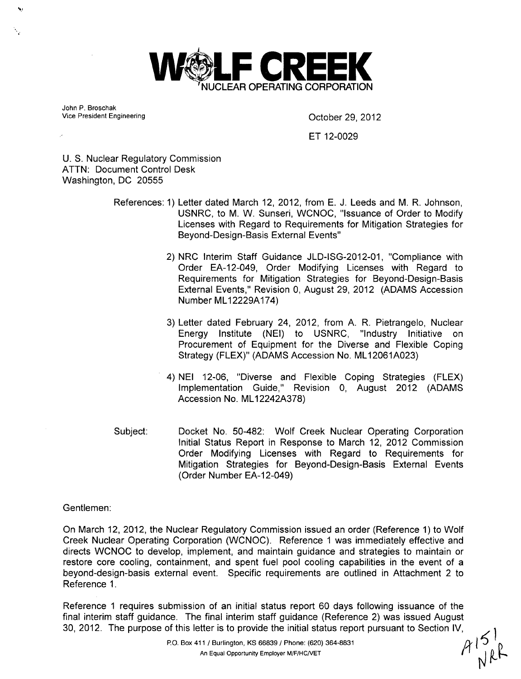

John P. Broschak<br>Vice President Engineering

October 29, 2012

## ET 12-0029

U. S. Nuclear Regulatory Commission ATTN: Document Control Desk Washington, DC 20555

> References: 1) Letter dated March 12, 2012, from E. J. Leeds and M. R. Johnson, USNRC, to M. W. Sunseri, WCNOC, "Issuance of Order to Modify Licenses with Regard to Requirements for Mitigation Strategies for Beyond-Design-Basis External Events"

- 2) NRC Interim Staff Guidance JLD-ISG-2012-01, "Compliance with Order EA-12-049, Order Modifying Licenses with Regard to Requirements for Mitigation Strategies for Beyond-Design-Basis External Events," Revision 0, August 29, 2012 (ADAMS Accession Number ML12229A174)
- 3) Letter dated February 24, 2012, from A. R. Pietrangelo, Nuclear Energy Institute (NEI) to USNRC, "Industry Initiative on Procurement of Equipment for the Diverse and Flexible Coping Strategy (FLEX)" (ADAMS Accession No. ML12061A023)
- 4) NEI 12-06, "Diverse and Flexible Coping Strategies (FLEX) Implementation Guide," Revision 0, August 2012 (ADAMS Accession No. ML12242A378)
- Docket No. 50-482: Wolf Creek Nuclear Operating Corporation Initial Status Report in Response to March 12, 2012 Commission Order Modifying Licenses with Regard to Requirements for Mitigation Strategies for Beyond-Design-Basis External Events (Order Number EA-12-049) Subject:

## Gentlemen:

On March 12, 2012, the Nuclear Regulatory Commission issued an order (Reference 1) to Wolf Creek Nuclear Operating Corporation (WCNOC). Reference 1 was immediately effective and directs WCNOC to develop, implement, and maintain guidance and strategies to maintain or restore core cooling, containment, and spent fuel pool cooling capabilities in the event of a beyond-design-basis external event. Specific requirements are outlined in Attachment 2 to Reference 1.

Reference 1 requires submission of an initial status report 60 days following issuance of the final interim staff guidance. The final interim staff guidance (Reference 2) was issued August 30, 2012. The purpose of this letter is to provide the initial status report pursuant to Section IV,<br>P.O. Box 411 / Burlington, KS 66839 / Phone: (620) 364-8831<br>An Equal Opportunity Employer M/F/HC/VET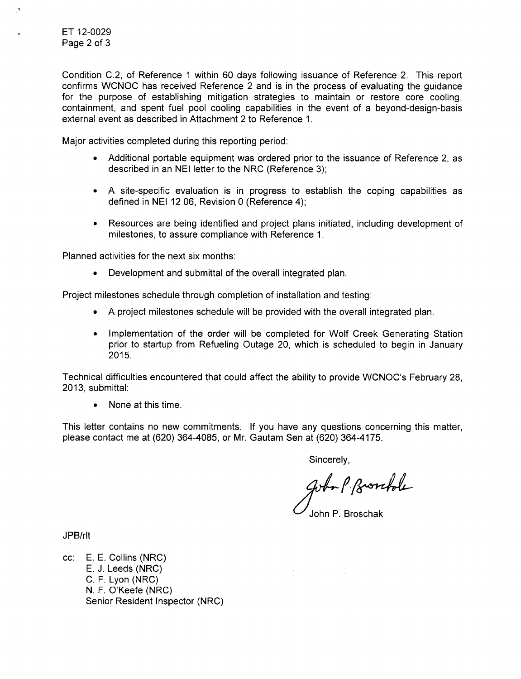Condition C.2, of Reference 1 within 60 days following issuance of Reference 2. This report confirms WCNOC has received Reference 2 and is in the process of evaluating the guidance for the purpose of establishing mitigation strategies to maintain or restore core cooling, containment, and spent fuel pool cooling capabilities in the event of a beyond-design-basis external event as described in Attachment 2 to Reference 1.

Major activities completed during this reporting period:

- Additional portable equipment was ordered prior to the issuance of Reference 2, as described in an NEI letter to the NRC (Reference 3);
- \* A site-specific evaluation is in progress to establish the coping capabilities as defined in NEI 12 06, Revision 0 (Reference 4);
- **"** Resources are being identified and project plans initiated, including development of milestones, to assure compliance with Reference 1.

Planned activities for the next six months:

• Development and submittal of the overall integrated plan.

Project milestones schedule through completion of installation and testing:

- \* A project milestones schedule will be provided with the overall integrated plan.
- **"** Implementation of the order will be completed for Wolf Creek Generating Station prior to startup from Refueling Outage 20, which is scheduled to begin in January 2015.

Technical difficulties encountered that could affect the ability to provide WCNOC's February 28, 2013, submittal:

**0** None at this time.

This letter contains no new commitments. If you have any questions concerning this matter, please contact me at (620) 364-4085, or Mr. Gautam Sen at (620) 364-4175.

Sincerely,

gobo P. Prosebole

John P. Broschak

JPB/rlt

cc: E. E. Collins (NRC) E. J. Leeds (NRC) C. F. Lyon (NRC) N. F. O'Keefe (NRC) Senior Resident Inspector (NRC)